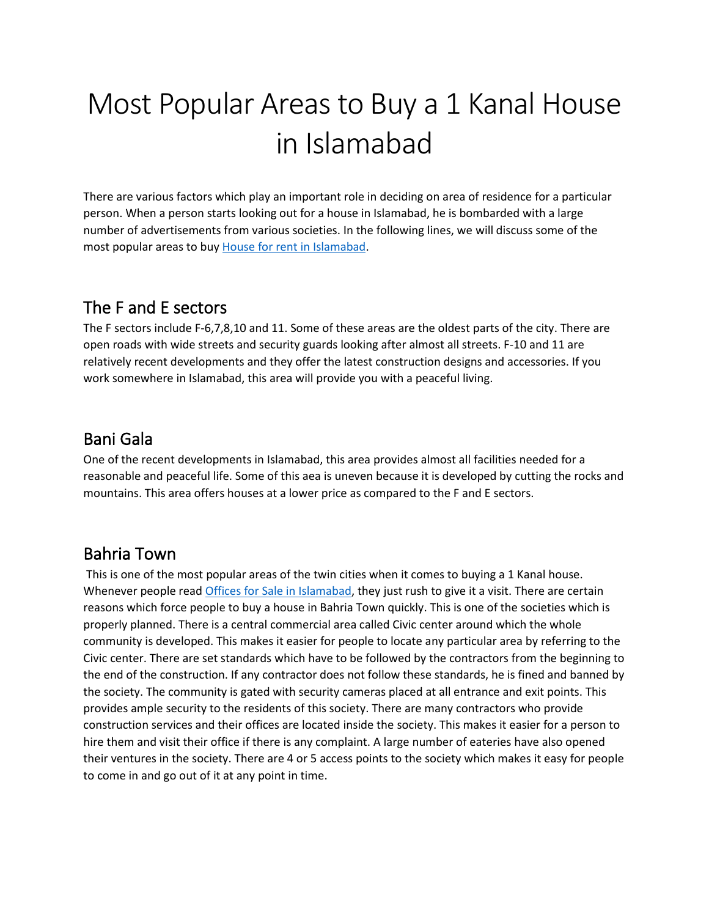# Most Popular Areas to Buy a 1 Kanal House in Islamabad

There are various factors which play an important role in deciding on area of residence for a particular person. When a person starts looking out for a house in Islamabad, he is bombarded with a large number of advertisements from various societies. In the following lines, we will discuss some of the most popular areas to buy [House for rent in Islamabad.](https://gharbaar.com/rent/Homes-House/Islamabad-11-1)

## The F and E sectors

The F sectors include F-6,7,8,10 and 11. Some of these areas are the oldest parts of the city. There are open roads with wide streets and security guards looking after almost all streets. F-10 and 11 are relatively recent developments and they offer the latest construction designs and accessories. If you work somewhere in Islamabad, this area will provide you with a peaceful living.

## Bani Gala

One of the recent developments in Islamabad, this area provides almost all facilities needed for a reasonable and peaceful life. Some of this aea is uneven because it is developed by cutting the rocks and mountains. This area offers houses at a lower price as compared to the F and E sectors.

#### Bahria Town

This is one of the most popular areas of the twin cities when it comes to buying a 1 Kanal house. Whenever people read [Offices for Sale in Islamabad,](https://gharbaar.com/sale/Commercial-Office/Islamabad-11-1) they just rush to give it a visit. There are certain reasons which force people to buy a house in Bahria Town quickly. This is one of the societies which is properly planned. There is a central commercial area called Civic center around which the whole community is developed. This makes it easier for people to locate any particular area by referring to the Civic center. There are set standards which have to be followed by the contractors from the beginning to the end of the construction. If any contractor does not follow these standards, he is fined and banned by the society. The community is gated with security cameras placed at all entrance and exit points. This provides ample security to the residents of this society. There are many contractors who provide construction services and their offices are located inside the society. This makes it easier for a person to hire them and visit their office if there is any complaint. A large number of eateries have also opened their ventures in the society. There are 4 or 5 access points to the society which makes it easy for people to come in and go out of it at any point in time.